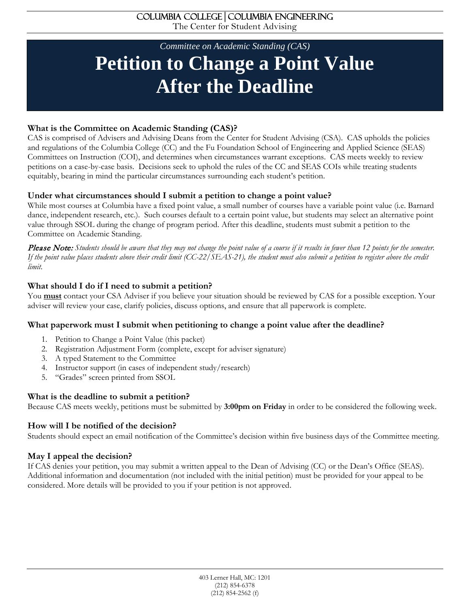## *Committee on Academic Standing (CAS)* **Petition to Change a Point Value After the Deadline**

## **What is the Committee on Academic Standing (CAS)?**

CAS is comprised of Advisers and Advising Deans from the Center for Student Advising (CSA). CAS upholds the policies and regulations of the Columbia College (CC) and the Fu Foundation School of Engineering and Applied Science (SEAS) Committees on Instruction (COI), and determines when circumstances warrant exceptions. CAS meets weekly to review petitions on a case-by-case basis. Decisions seek to uphold the rules of the CC and SEAS COIs while treating students equitably, bearing in mind the particular circumstances surrounding each student's petition.

## **Under what circumstances should I submit a petition to change a point value?**

While most courses at Columbia have a fixed point value, a small number of courses have a variable point value (i.e. Barnard dance, independent research, etc.). Such courses default to a certain point value, but students may select an alternative point value through SSOL during the change of program period. After this deadline, students must submit a petition to the Committee on Academic Standing.

Please Note: *Students should be aware that they may not change the point value of a course if it results in fewer than 12 points for the semester. If the point value places students above their credit limit (CC-22/SEAS-21), the student must also submit a petition to register above the credit limit.* 

## **What should I do if I need to submit a petition?**

You **must** contact your CSA Adviser if you believe your situation should be reviewed by CAS for a possible exception. Your adviser will review your case, clarify policies, discuss options, and ensure that all paperwork is complete.

## **What paperwork must I submit when petitioning to change a point value after the deadline?**

- 1. Petition to Change a Point Value (this packet)
- 2. Registration Adjustment Form (complete, except for adviser signature)
- 3. A typed Statement to the Committee
- 4. Instructor support (in cases of independent study/research)
- 5. "Grades" screen printed from SSOL

## **What is the deadline to submit a petition?**

Because CAS meets weekly, petitions must be submitted by **3:00pm on Friday** in order to be considered the following week.

## **How will I be notified of the decision?**

Students should expect an email notification of the Committee's decision within five business days of the Committee meeting.

## **May I appeal the decision?**

If CAS denies your petition, you may submit a written appeal to the Dean of Advising (CC) or the Dean's Office (SEAS). Additional information and documentation (not included with the initial petition) must be provided for your appeal to be considered. More details will be provided to you if your petition is not approved.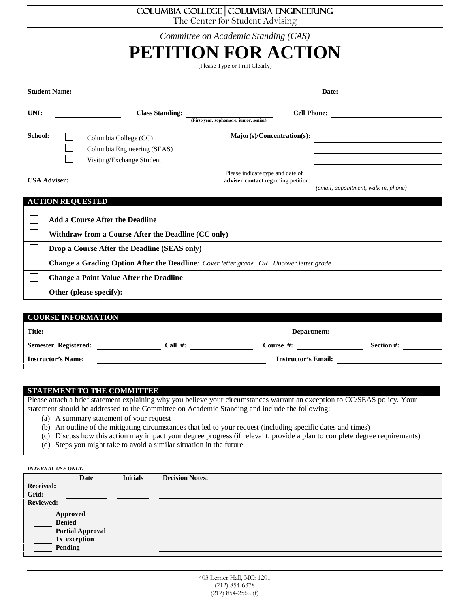## Columbia College**│**Columbia Engineering

The Center for Student Advising

|  | Committee on Academic Standing (CAS) |  |
|--|--------------------------------------|--|
|--|--------------------------------------|--|

| PETITION FOR ACTION<br>(Please Type or Print Clearly) |                                                                                               |                                                                                   |                                                                         |                                      |  |
|-------------------------------------------------------|-----------------------------------------------------------------------------------------------|-----------------------------------------------------------------------------------|-------------------------------------------------------------------------|--------------------------------------|--|
| <b>Student Name:</b><br>Date: $\qquad \qquad \qquad$  |                                                                                               |                                                                                   |                                                                         |                                      |  |
| UNI:                                                  |                                                                                               | <b>Class Standing:</b>                                                            | (First-year, sophomore, junior, senior)                                 |                                      |  |
| School:                                               |                                                                                               | Columbia College (CC)<br>Columbia Engineering (SEAS)<br>Visiting/Exchange Student | Major(s)/Concentration(s):                                              |                                      |  |
|                                                       | <b>CSA Adviser:</b>                                                                           |                                                                                   | Please indicate type and date of<br>adviser contact regarding petition: | (email, appointment, walk-in, phone) |  |
|                                                       | <b>ACTION REQUESTED</b>                                                                       |                                                                                   |                                                                         |                                      |  |
|                                                       |                                                                                               | <b>Add a Course After the Deadline</b>                                            |                                                                         |                                      |  |
|                                                       | Withdraw from a Course After the Deadline (CC only)                                           |                                                                                   |                                                                         |                                      |  |
|                                                       | Drop a Course After the Deadline (SEAS only)                                                  |                                                                                   |                                                                         |                                      |  |
|                                                       | <b>Change a Grading Option After the Deadline:</b> Cover letter grade OR Uncover letter grade |                                                                                   |                                                                         |                                      |  |
|                                                       | <b>Change a Point Value After the Deadline</b>                                                |                                                                                   |                                                                         |                                      |  |
|                                                       |                                                                                               | Other (please specify):                                                           |                                                                         |                                      |  |
|                                                       |                                                                                               |                                                                                   |                                                                         |                                      |  |
|                                                       |                                                                                               | <b>COURSE INFORMATION</b>                                                         |                                                                         |                                      |  |
| Title:                                                |                                                                                               |                                                                                   | Department:                                                             |                                      |  |
| Call $#$ :<br><b>Semester Registered:</b>             |                                                                                               |                                                                                   | Course #:                                                               | Section #:                           |  |

**Instructor's Name: Instructor's Email:**

#### **STATEMENT TO THE COMMITTEE**

Please attach a brief statement explaining why you believe your circumstances warrant an exception to CC/SEAS policy. Your statement should be addressed to the Committee on Academic Standing and include the following:

- (a) A summary statement of your request
- (b) An outline of the mitigating circumstances that led to your request (including specific dates and times)
- (c) Discuss how this action may impact your degree progress (if relevant, provide a plan to complete degree requirements)
- (d) Steps you might take to avoid a similar situation in the future

*INTERNAL USE ONLY:*

|                                      | Date                                    | <b>Initials</b> | <b>Decision Notes:</b> |
|--------------------------------------|-----------------------------------------|-----------------|------------------------|
| <b>Received:</b>                     |                                         |                 |                        |
| Grid:                                |                                         |                 |                        |
| <b>Reviewed:</b>                     |                                         |                 |                        |
| Approved<br><b>Denied</b><br>Pending | <b>Partial Approval</b><br>1x exception |                 |                        |
|                                      |                                         |                 |                        |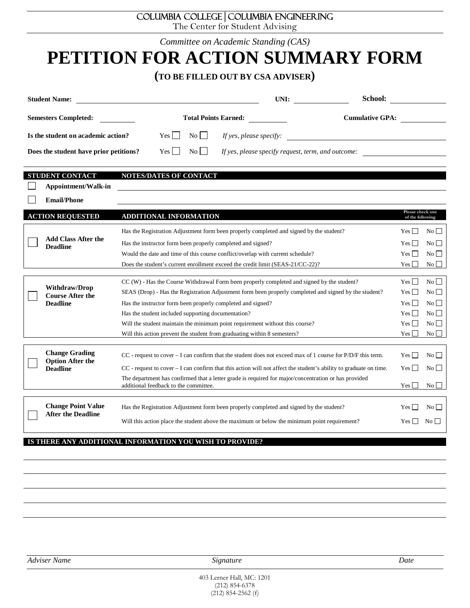## Columbia College**│**Columbia Engineering

The Center for Student Advising

*Committee on Academic Standing (CAS)*

## **PETITION FOR ACTION SUMMARY FORM**

## **(TO BE FILLED OUT BY CSA ADVISER)**

| <b>Student Name:</b>                   |                                            | UNI:                                               | School:                |
|----------------------------------------|--------------------------------------------|----------------------------------------------------|------------------------|
| <b>Semesters Completed:</b>            | <b>Total Points Earned:</b>                |                                                    | <b>Cumulative GPA:</b> |
| Is the student on academic action?     | $\overline{N_{O}}$    <br>$Yes \mid \cdot$ | If yes, please specify:                            |                        |
| Does the student have prior petitions? | $\mathrm{No}$    <br>$Yes \mid \mid$       | If yes, please specify request, term, and outcome: |                        |

#### **STUDENT CONTACT NOTES/DATES OF CONTACT**

 $\mathbf{L}$ **Appointment/Walk-in** 

**Email/Phone**  $\Box$ 

|  | <b>ACTION REQUESTED</b>                                | ADDITIONAL INFORMATION                                                                                                                        | Please check one<br>of the following |                    |
|--|--------------------------------------------------------|-----------------------------------------------------------------------------------------------------------------------------------------------|--------------------------------------|--------------------|
|  |                                                        | Has the Registration Adjustment form been properly completed and signed by the student?                                                       | Yes                                  | $\overline{N_0}$   |
|  | <b>Add Class After the</b><br><b>Deadline</b>          | Has the instructor form been properly completed and signed?                                                                                   | Yes                                  | $\overline{N_0}$   |
|  |                                                        | Would the date and time of this course conflict/overlap with current schedule?                                                                | $\mathcal{L}$<br>Yes                 | $\overline{N_{0}}$ |
|  |                                                        | Does the student's current enrollment exceed the credit limit (SEAS-21/CC-22)?                                                                | $Yes \Box$                           | No                 |
|  |                                                        |                                                                                                                                               |                                      |                    |
|  | <b>Withdraw/Drop</b><br><b>Course After the</b>        | CC (W) - Has the Course Withdrawal Form been properly completed and signed by the student?                                                    | Yes                                  | $\overline{N_{0}}$ |
|  |                                                        | SEAS (Drop) - Has the Registration Adjustment form been properly completed and signed by the student?                                         | $Yes \Box$                           | $\overline{N_0}$   |
|  | <b>Deadline</b>                                        | Has the instructor form been properly completed and signed?                                                                                   | $Yes \Box$                           | $\overline{N_0}$   |
|  |                                                        | Has the student included supporting documentation?                                                                                            | $Yes \Box$                           | No                 |
|  |                                                        | Will the student maintain the minimum point requirement without this course?                                                                  | $\mathbf{I}$<br>Yes                  | N <sub>0</sub>     |
|  |                                                        | Will this action prevent the student from graduating within 8 semesters?                                                                      | Yes                                  | No                 |
|  |                                                        |                                                                                                                                               |                                      |                    |
|  | <b>Change Grading</b><br><b>Option After the</b>       | $CC$ - request to cover $- I$ can confirm that the student does not exceed max of 1 course for $P/D/F$ this term.                             | $\sim$<br>Yes                        | $\overline{N_0}$   |
|  | <b>Deadline</b>                                        | $CC$ - request to cover $-I$ can confirm that this action will not affect the student's ability to graduate on time.                          | Yes  <br>$\sim$                      | $\overline{N_0}$   |
|  |                                                        | The department has confirmed that a letter grade is required for major/concentration or has provided<br>additional feedback to the committee. | Yes  <br>$\mathcal{L}$               | No l               |
|  |                                                        |                                                                                                                                               |                                      |                    |
|  | <b>Change Point Value</b><br><b>After the Deadline</b> | Has the Registration Adjustment form been properly completed and signed by the student?                                                       | Yes I<br><b>College</b>              | No l               |
|  |                                                        | Will this action place the student above the maximum or below the minimum point requirement?                                                  | Yes                                  | $\overline{N_{O}}$ |

#### **IS THERE ANY ADDITIONAL INFORMATION YOU WISH TO PROVIDE?**